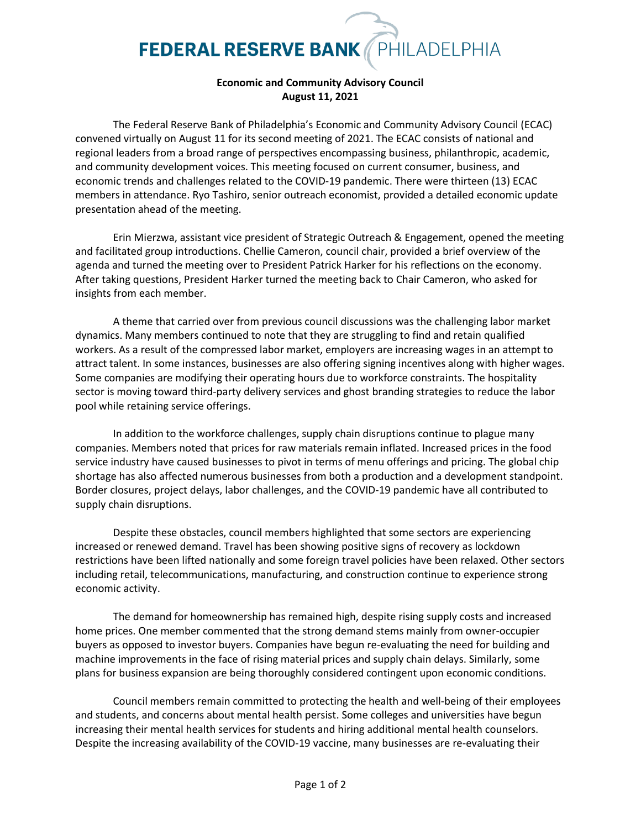## **FEDERAL RESERVE BANK** PHILADELPHIA

## **Economic and Community Advisory Council August 11, 2021**

The Federal Reserve Bank of Philadelphia's Economic and Community Advisory Council (ECAC) convened virtually on August 11 for its second meeting of 2021. The ECAC consists of national and regional leaders from a broad range of perspectives encompassing business, philanthropic, academic, and community development voices. This meeting focused on current consumer, business, and economic trends and challenges related to the COVID-19 pandemic. There were thirteen (13) ECAC members in attendance. Ryo Tashiro, senior outreach economist, provided a detailed economic update presentation ahead of the meeting.

Erin Mierzwa, assistant vice president of Strategic Outreach & Engagement, opened the meeting and facilitated group introductions. Chellie Cameron, council chair, provided a brief overview of the agenda and turned the meeting over to President Patrick Harker for his reflections on the economy. After taking questions, President Harker turned the meeting back to Chair Cameron, who asked for insights from each member.

A theme that carried over from previous council discussions was the challenging labor market dynamics. Many members continued to note that they are struggling to find and retain qualified workers. As a result of the compressed labor market, employers are increasing wages in an attempt to attract talent. In some instances, businesses are also offering signing incentives along with higher wages. Some companies are modifying their operating hours due to workforce constraints. The hospitality sector is moving toward third-party delivery services and ghost branding strategies to reduce the labor pool while retaining service offerings.

In addition to the workforce challenges, supply chain disruptions continue to plague many companies. Members noted that prices for raw materials remain inflated. Increased prices in the food service industry have caused businesses to pivot in terms of menu offerings and pricing. The global chip shortage has also affected numerous businesses from both a production and a development standpoint. Border closures, project delays, labor challenges, and the COVID-19 pandemic have all contributed to supply chain disruptions.

Despite these obstacles, council members highlighted that some sectors are experiencing increased or renewed demand. Travel has been showing positive signs of recovery as lockdown restrictions have been lifted nationally and some foreign travel policies have been relaxed. Other sectors including retail, telecommunications, manufacturing, and construction continue to experience strong economic activity.

The demand for homeownership has remained high, despite rising supply costs and increased home prices. One member commented that the strong demand stems mainly from owner-occupier buyers as opposed to investor buyers. Companies have begun re-evaluating the need for building and machine improvements in the face of rising material prices and supply chain delays. Similarly, some plans for business expansion are being thoroughly considered contingent upon economic conditions.

Council members remain committed to protecting the health and well-being of their employees and students, and concerns about mental health persist. Some colleges and universities have begun increasing their mental health services for students and hiring additional mental health counselors. Despite the increasing availability of the COVID-19 vaccine, many businesses are re-evaluating their